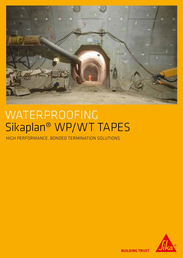

# WATERPROOFING Sikaplan® WP/WT TAPES

HIGH PERFORMANCE, BONDED TERMINATION SOLUTIONS



**BUILDING TRUST**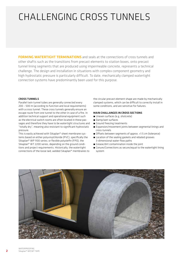## CHALLENGING CROSS TUNNELS

FORMING WATERTIGHT TERMINATIONS and seals at the connections of cross tunnels and other shafts such as the transitions from precast elements to station boxes, onto precast tunnel lining segments that are produced using impermeable concrete, represents a technical challenge. The design and installation in situations with complex component geometry and high hydrostatic pressure is particularly difficult. To date, mechanically clamped watertight connection systems have predominantly been used for this purpose.

#### CROSS TUNNELS

Parallel twin tunnel tubes are generally connected every 200 – 500 m (according to function and local requirements) with a cross tunnel. These cross tunnels generally ensure an escape route from one tunnel to the other in case of a fire. In addition technical support and operational equipment such as the electrical switch rooms are often located in these passages and therefore they have to be watertight structures and "totally dry", meaning also resistant to significant hydrostatic pressure.

This is easily achieved with Sikaplan® sheet membrane systems based on either polyvinylchloride (PVC), specifically the Sikaplan® WP 1100 series; or flexible polyolefin (FPO), the Sikaplan® WT 2200 series, depending on the ground conditions and project requirements. Historically, the watertight connections of the loose laid, welded Sikaplan® membranes to the circular precast element shape are made by mechanically clamped systems, which can be difficult to correctly install in some conditions, and are sensitive for failures.

#### MAIN CHALLANGES IN CROSS SECTIONS

- $\blacksquare$  Uneven surfaces (e.g. shotcrete)
- Damp/wet surfaces
- Ground freezing treatments
- ́ Expansion/movement joints between segmental linings and cross-tunnels
- Offsets between segments of approx. <1.5 cm (tolerance)
- Location of the sealing gaskets and rebated grooves 3-dimensional water-flow paths
- Grease/dirt contamination inside the joint
- Conure/Connections as secure/equal to the watertight lining system

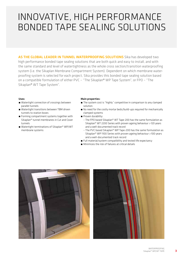### INNOVATIVE, HIGH PERFORMANCE BONDED TAPE SEALING SOLUTIONS

AS THE GLOBAL LEADER IN TUNNEL WATERPROOFING SOLUTIONS Sika has developed two high performance bonded tape sealing solutions that are both quick and easy to install, and with the same standard and level of watertightness as the whole cross section/transition waterproofing system (i.e. the Sikaplan Membrane Compartment System). Dependent on which membrane waterproofing system is selected for each project, Sika provides this bonded tape sealing solution based on a compatible formulation of either PVC – "The Sikaplan® WP Tape System", or FPO – "The Sikaplan® WT Tape System".

#### Uses:

- Watertight connection of crossings between parallel tunnels
- Watertight transitions between TBM driven tunnels to station boxes
- Forming compartment systems together with Sikaplan® tunnel membranes in Cut and Cover tunnels
- Watertight terminations of Sikaplan® WP/WT membrane systems

#### Main properties:

- The system cost is "highly" competitive in comparison to any clamped solution.
- No need for the costly mortar beds/build-ups required for mechanically clamped systems
- **•** Proven durability:
	- The FPO based Sikaplan® WT Tape-200 has the same formulation as Sikaplan® WT 2200 Series with proven ageing behaviour >120 years and a well-documented track record
	- The PVC based Sikaplan® WP Tape-200 has the same formulation as Sikaplan® WP 1100 Series with proven ageing behaviour >100 years and a well-documented track record
- Full material/system compatibility and tested life expectancy
- Minimizes the risk of failures at critical details





3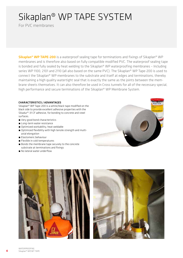### Sikaplan® WP TAPE SYSTEM

For PVC membranes

Sikaplan<sup>®</sup> WP TAPE-200 is a waterproof sealing tape for terminations and fixings of Sikaplan<sup>®</sup> WP membranes and is therefore also based on fully compatible modified PVC. The waterproof sealing tape is bonded and fully sealed by heat welding to the Sikaplan® WP waterproofing membranes – Including series WP 1100, 2101 and 2110 (all also based on the same PVC). The Sikaplan® WP Tape-200 is used to connect the Sikaplan® WP membranes to the substrate and itself at edges and terminations, thereby maintaining a high quality watertight seal that is exactly the same as the joints between the membrane sheets themselves. It can also therefore be used in Cross tunnels for all of the necessary special, high performance and secure terminations of the Sikaplan® WP Membrane System.

#### CHARACTERISTICS / ADVANTAGES

Sikaplan® WP Tape-200 is a white/black tape modified on the black side to provide excellent adhesive properties with the Sikadur®-31 CF adhesive, for bonding to concrete and steel surfaces.

- Very good bond characteristics
- Long-term water resistance
- Optimized workability, heat weldable
- Optimized flexibility with high tensile strength and multiaxial elongation
- **Elastomeric behaviour**
- **E** Flexible in cold temperatures
- Bonds the membrane tape securely to the concrete substrate at terminations and fixings
- No lateral water underflow





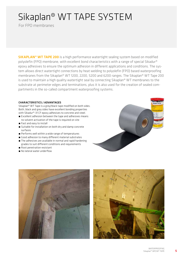### Sikaplan® WT TAPE SYSTEM

For FPO membranes

**SIKAPLAN<sup>®</sup> WT TAPE 200** is a high performance watertight sealing system based on modified polyolefin (FPO) membrane, with excellent bond characteristics with a range of special Sikadur® epoxy adhesives to ensure the optimum adhesion in different applications and conditions. The system allows direct watertight connections by heat welding to polyolefin (FPO) based waterproofing membranes from the Sikaplan® WT 1200, 2200, 5200 and 6200 ranges. The Sikaplan® WT Tape 200 is used to maintain a high quality watertight seal by connecting Sikaplan® WT membranes to the substrate at perimeter edges and terminations, plus it is also used for the creation of sealed compartments in the so-called compartment waterproofing systems.

#### CHARACTERISTICS / ADVANTAGES

Sikaplan® WT Tape is a grey/black tape modified on both sides. Both, black and grey sides have excellent bonding properties with Sikadur®-31 CF epoxy adhesives to concrete and steel.

- **Excellent adhesion between the tape and adhesives means** no solvent activation of the tape is required on site
- Fast and easy to install
- Suitable for installation on both dry and damp concrete surfaces
- Performs well within a wide range of temperatures
- Good adhesion to many different material substrates
- $\blacksquare$  The adhesives are available in normal and rapid hardening grades to suit different conditions and requirements
- Root penetration resistant
- No lateral water underflow







5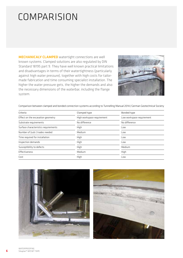### COMPARISION

MECHANICALY CLAMPED watertight connections are well known systems. Clamped solutions are also regulated by DIN Standard 18195 part 9. They have well known practical limitations and disadvantages in terms of their watertightness (particularly against high water pressure), together with high costs for tailormade fabrication and time consuming specialist installation. The higher the water pressure gets, the higher the demands and also the necessary dimensions of the waterbar, including the flange system.



Comparison between clamped and bonded connection systems according to Tunnelling Manual 2014/German Geotechnical Society

| Criteria                             | Clamped type               | <b>Bonded type</b>        |
|--------------------------------------|----------------------------|---------------------------|
| Effect on the excavation geometry    | High workspace requirement | Low workspace requirement |
| Substrate requirements               | No difference              | No difference             |
| Surface characteristics requirements | High                       | Low                       |
| Number of (sub-) trades needed       | Medium                     | Low                       |
| Time required for installation       | High                       | Low                       |
| Inspection demands                   | High                       | Low                       |
| Susceptibility to defects            | High                       | Medium                    |
| Effectiveness                        | Medium                     | High                      |
| Cost                                 | High                       | Low                       |



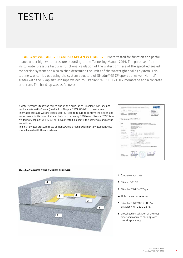### TESTING

SIKAPLAN® WP TAPE-200 AND SIKAPLAN WT TAPE-200 were tested for function and performance under high water pressure according to the Tunnelling Manual 2014. The purpose of the insitu water pressure test was functional validation of the watertightness of the specified sealed connection system and also to then determine the limits of the watertight sealing system. This testing was carried out using the system structure of Sikadur®-31 CF epoxy adhesive ('Normal' grade) with the Sikaplan® WP Tape welded to Sikaplan® WP 1100-21 HL2 membrane and a concrete structure. The build-up was as follows:

A watertightness test was carried out on this build-up of Sikaplan® WP Tape and sealing system (PVC based) welded to Sikaplan® WP 1100-21 HL membrane. The water pressure was increases step-by-step to failure to confirm the design and performance limitations. A similar build-up, but using FPO based Sikaplan® WT tape welded to Sikaplan® WT 2200-21 HL was tested in exactly the same way and at the same time.

The insitu water pressure tests demonstrated a high performance watertightness was achieved with these systems.



Sikaplan® WP/WT TAPE SYSTEM BUILD-UP:



- 1. Concrete substrate
- 2. Sikadur®-31 CF
- 3. Sikaplan® WP/WT Tape
- 4. Hole for Waterpressure
- 5. Sikaplan® WP 1100-21 HL2 or Sikaplan® WT 2200-22 HL
- 6. Crosshead installation of the test piece and concrete backing with grouting concrete

7